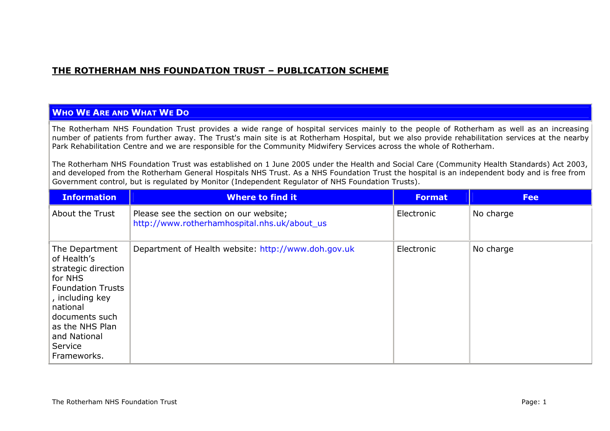## **THE ROTHERHAM NHS FOUNDATION TRUST – PUBLICATION SCHEME**

## **WHO WE ARE AND WHAT WE DO**

The Rotherham NHS Foundation Trust provides a wide range of hospital services mainly to the people of Rotherham as well as an increasing number of patients from further away. The Trust's main site is at Rotherham Hospital, but we also provide rehabilitation services at the nearby Park Rehabilitation Centre and we are responsible for the Community Midwifery Services across the whole of Rotherham.

The Rotherham NHS Foundation Trust was established on 1 June 2005 under the Health and Social Care (Community Health Standards) Act 2003, and developed from the Rotherham General Hospitals NHS Trust. As a NHS Foundation Trust the hospital is an independent body and is free from Government control, but is regulated by Monitor (Independent Regulator of NHS Foundation Trusts).

| <b>Information</b>                                                                                                                                                                                        | <b>Where to find it</b>                                                                | <b>Format</b> | <b>Fee</b> |
|-----------------------------------------------------------------------------------------------------------------------------------------------------------------------------------------------------------|----------------------------------------------------------------------------------------|---------------|------------|
| About the Trust                                                                                                                                                                                           | Please see the section on our website;<br>http://www.rotherhamhospital.nhs.uk/about_us | Electronic    | No charge  |
| The Department<br>of Health's<br>strategic direction<br>for NHS<br><b>Foundation Trusts</b><br>, including key<br>national<br>documents such<br>as the NHS Plan<br>and National<br>Service<br>Frameworks. | Department of Health website: http://www.doh.gov.uk                                    | Electronic    | No charge  |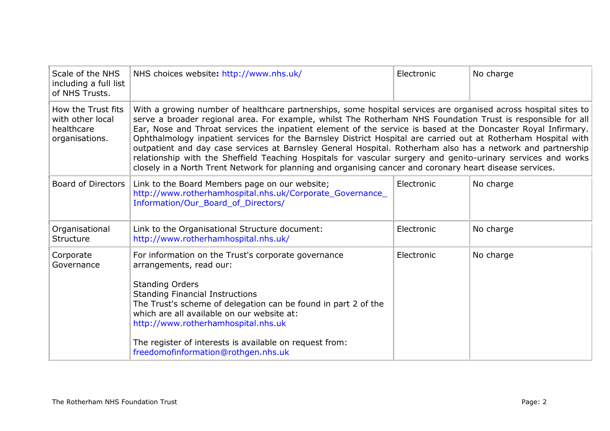| Scale of the NHS<br>including a full list<br>of NHS Trusts.            | NHS choices website: http://www.nhs.uk/                                                                                                                                                                                                                                                                                                                                                                                                                                                                                                                                                                                                                                                                                                                                                                        | Electronic | No charge |
|------------------------------------------------------------------------|----------------------------------------------------------------------------------------------------------------------------------------------------------------------------------------------------------------------------------------------------------------------------------------------------------------------------------------------------------------------------------------------------------------------------------------------------------------------------------------------------------------------------------------------------------------------------------------------------------------------------------------------------------------------------------------------------------------------------------------------------------------------------------------------------------------|------------|-----------|
| How the Trust fits<br>with other local<br>healthcare<br>organisations. | With a growing number of healthcare partnerships, some hospital services are organised across hospital sites to<br>serve a broader regional area. For example, whilst The Rotherham NHS Foundation Trust is responsible for all<br>Ear, Nose and Throat services the inpatient element of the service is based at the Doncaster Royal Infirmary.<br>Ophthalmology inpatient services for the Barnsley District Hospital are carried out at Rotherham Hospital with<br>outpatient and day case services at Barnsley General Hospital. Rotherham also has a network and partnership<br>relationship with the Sheffield Teaching Hospitals for vascular surgery and genito-urinary services and works<br>closely in a North Trent Network for planning and organising cancer and coronary heart disease services. |            |           |
| <b>Board of Directors</b>                                              | Link to the Board Members page on our website;<br>http://www.rotherhamhospital.nhs.uk/Corporate_Governance_<br>Information/Our_Board_of_Directors/                                                                                                                                                                                                                                                                                                                                                                                                                                                                                                                                                                                                                                                             | Electronic | No charge |
| Organisational<br><b>Structure</b>                                     | Link to the Organisational Structure document:<br>http://www.rotherhamhospital.nhs.uk/                                                                                                                                                                                                                                                                                                                                                                                                                                                                                                                                                                                                                                                                                                                         | Electronic | No charge |
| Corporate<br>Governance                                                | For information on the Trust's corporate governance<br>arrangements, read our:<br><b>Standing Orders</b><br><b>Standing Financial Instructions</b><br>The Trust's scheme of delegation can be found in part 2 of the<br>which are all available on our website at:<br>http://www.rotherhamhospital.nhs.uk<br>The register of interests is available on request from:<br>freedomofinformation@rothgen.nhs.uk                                                                                                                                                                                                                                                                                                                                                                                                    | Electronic | No charge |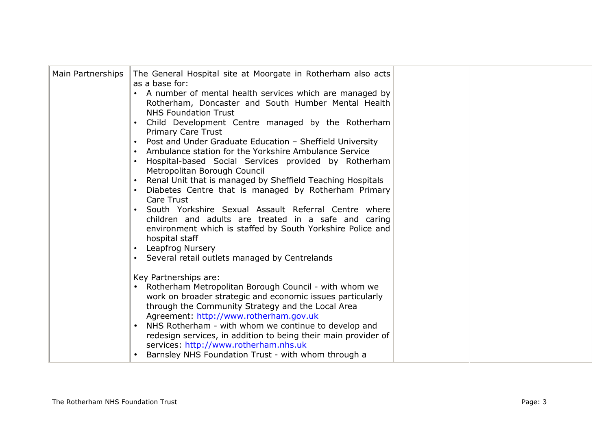| Main Partnerships | The General Hospital site at Moorgate in Rotherham also acts<br>as a base for:<br>• A number of mental health services which are managed by<br>Rotherham, Doncaster and South Humber Mental Health<br><b>NHS Foundation Trust</b><br>Child Development Centre managed by the Rotherham<br><b>Primary Care Trust</b><br>• Post and Under Graduate Education - Sheffield University<br>Ambulance station for the Yorkshire Ambulance Service<br>Hospital-based Social Services provided by Rotherham<br>Metropolitan Borough Council<br>Renal Unit that is managed by Sheffield Teaching Hospitals<br>Diabetes Centre that is managed by Rotherham Primary<br>Care Trust<br>South Yorkshire Sexual Assault Referral Centre where<br>children and adults are treated in a safe and caring<br>environment which is staffed by South Yorkshire Police and<br>hospital staff<br>Leapfrog Nursery |  |
|-------------------|--------------------------------------------------------------------------------------------------------------------------------------------------------------------------------------------------------------------------------------------------------------------------------------------------------------------------------------------------------------------------------------------------------------------------------------------------------------------------------------------------------------------------------------------------------------------------------------------------------------------------------------------------------------------------------------------------------------------------------------------------------------------------------------------------------------------------------------------------------------------------------------------|--|
|                   | • Several retail outlets managed by Centrelands<br>Key Partnerships are:<br>Rotherham Metropolitan Borough Council - with whom we<br>$\bullet$<br>work on broader strategic and economic issues particularly<br>through the Community Strategy and the Local Area<br>Agreement: http://www.rotherham.gov.uk<br>NHS Rotherham - with whom we continue to develop and<br>redesign services, in addition to being their main provider of<br>services: http://www.rotherham.nhs.uk<br>Barnsley NHS Foundation Trust - with whom through a                                                                                                                                                                                                                                                                                                                                                      |  |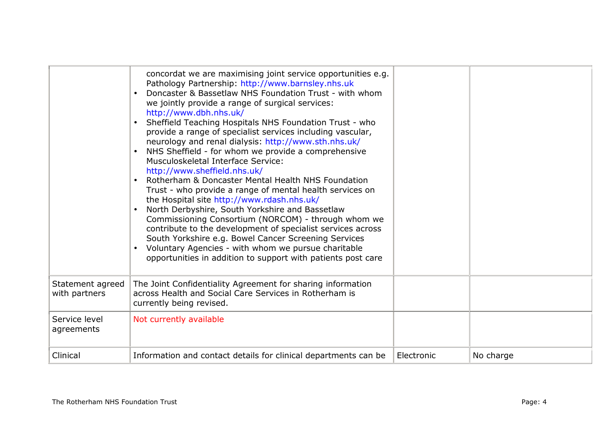|                                   | concordat we are maximising joint service opportunities e.g.<br>Pathology Partnership: http://www.barnsley.nhs.uk<br>Doncaster & Bassetlaw NHS Foundation Trust - with whom<br>we jointly provide a range of surgical services:<br>http://www.dbh.nhs.uk/<br>• Sheffield Teaching Hospitals NHS Foundation Trust - who<br>provide a range of specialist services including vascular,<br>neurology and renal dialysis: http://www.sth.nhs.uk/<br>NHS Sheffield - for whom we provide a comprehensive<br>Musculoskeletal Interface Service:<br>http://www.sheffield.nhs.uk/<br>Rotherham & Doncaster Mental Health NHS Foundation<br>Trust - who provide a range of mental health services on<br>the Hospital site http://www.rdash.nhs.uk/<br>North Derbyshire, South Yorkshire and Bassetlaw<br>$\bullet$<br>Commissioning Consortium (NORCOM) - through whom we<br>contribute to the development of specialist services across<br>South Yorkshire e.g. Bowel Cancer Screening Services<br>Voluntary Agencies - with whom we pursue charitable<br>opportunities in addition to support with patients post care |            |           |
|-----------------------------------|----------------------------------------------------------------------------------------------------------------------------------------------------------------------------------------------------------------------------------------------------------------------------------------------------------------------------------------------------------------------------------------------------------------------------------------------------------------------------------------------------------------------------------------------------------------------------------------------------------------------------------------------------------------------------------------------------------------------------------------------------------------------------------------------------------------------------------------------------------------------------------------------------------------------------------------------------------------------------------------------------------------------------------------------------------------------------------------------------------------|------------|-----------|
| Statement agreed<br>with partners | The Joint Confidentiality Agreement for sharing information<br>across Health and Social Care Services in Rotherham is<br>currently being revised.                                                                                                                                                                                                                                                                                                                                                                                                                                                                                                                                                                                                                                                                                                                                                                                                                                                                                                                                                              |            |           |
| Service level<br>agreements       | Not currently available                                                                                                                                                                                                                                                                                                                                                                                                                                                                                                                                                                                                                                                                                                                                                                                                                                                                                                                                                                                                                                                                                        |            |           |
| Clinical                          | Information and contact details for clinical departments can be                                                                                                                                                                                                                                                                                                                                                                                                                                                                                                                                                                                                                                                                                                                                                                                                                                                                                                                                                                                                                                                | Electronic | No charge |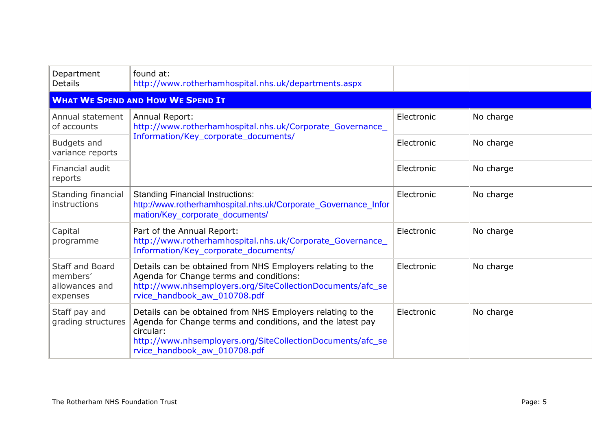| Department<br><b>Details</b>                                     | found at:<br>http://www.rotherhamhospital.nhs.uk/departments.aspx                                                                                                                                                                   |            |           |
|------------------------------------------------------------------|-------------------------------------------------------------------------------------------------------------------------------------------------------------------------------------------------------------------------------------|------------|-----------|
|                                                                  | <b>WHAT WE SPEND AND HOW WE SPEND IT</b>                                                                                                                                                                                            |            |           |
| Annual statement<br>of accounts                                  | Annual Report:<br>http://www.rotherhamhospital.nhs.uk/Corporate_Governance_<br>Information/Key_corporate_documents/                                                                                                                 | Electronic | No charge |
| Budgets and<br>variance reports                                  |                                                                                                                                                                                                                                     | Electronic | No charge |
| Financial audit<br>reports                                       |                                                                                                                                                                                                                                     | Electronic | No charge |
| Standing financial<br>instructions                               | <b>Standing Financial Instructions:</b><br>http://www.rotherhamhospital.nhs.uk/Corporate_Governance_Infor<br>mation/Key_corporate_documents/                                                                                        | Electronic | No charge |
| Capital<br>programme                                             | Part of the Annual Report:<br>http://www.rotherhamhospital.nhs.uk/Corporate_Governance_<br>Information/Key_corporate_documents/                                                                                                     | Electronic | No charge |
| <b>Staff and Board</b><br>members'<br>allowances and<br>expenses | Details can be obtained from NHS Employers relating to the<br>Agenda for Change terms and conditions:<br>http://www.nhsemployers.org/SiteCollectionDocuments/afc_se<br>rvice_handbook_aw_010708.pdf                                 | Electronic | No charge |
| Staff pay and<br>grading structures                              | Details can be obtained from NHS Employers relating to the<br>Agenda for Change terms and conditions, and the latest pay<br>circular:<br>http://www.nhsemployers.org/SiteCollectionDocuments/afc_se<br>rvice_handbook_aw_010708.pdf | Electronic | No charge |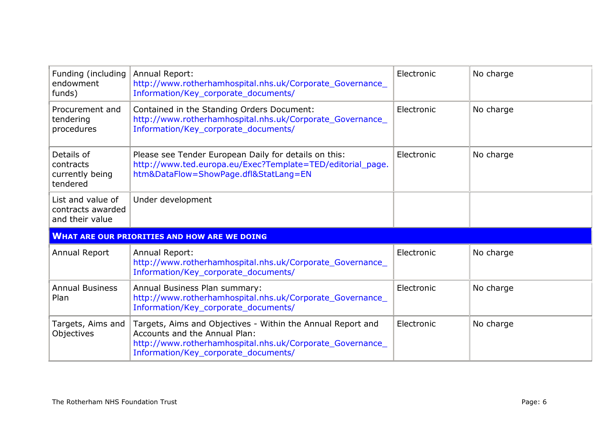| Funding (including<br>endowment<br>funds)                 | Annual Report:<br>http://www.rotherhamhospital.nhs.uk/Corporate_Governance_<br>Information/Key_corporate_documents/                                                                               | Electronic | No charge |
|-----------------------------------------------------------|---------------------------------------------------------------------------------------------------------------------------------------------------------------------------------------------------|------------|-----------|
| Procurement and<br>tendering<br>procedures                | Contained in the Standing Orders Document:<br>http://www.rotherhamhospital.nhs.uk/Corporate_Governance_<br>Information/Key_corporate_documents/                                                   | Electronic | No charge |
| Details of<br>contracts<br>currently being<br>tendered    | Please see Tender European Daily for details on this:<br>http://www.ted.europa.eu/Exec?Template=TED/editorial_page.<br>htm&DataFlow=ShowPage.dfl&StatLang=EN                                      | Electronic | No charge |
| List and value of<br>contracts awarded<br>and their value | Under development                                                                                                                                                                                 |            |           |
|                                                           | <b>WHAT ARE OUR PRIORITIES AND HOW ARE WE DOING</b>                                                                                                                                               |            |           |
| Annual Report                                             | Annual Report:<br>http://www.rotherhamhospital.nhs.uk/Corporate_Governance_<br>Information/Key_corporate_documents/                                                                               | Electronic | No charge |
| <b>Annual Business</b><br>Plan                            | Annual Business Plan summary:<br>http://www.rotherhamhospital.nhs.uk/Corporate_Governance_<br>Information/Key_corporate_documents/                                                                | Electronic | No charge |
| Targets, Aims and<br>Objectives                           | Targets, Aims and Objectives - Within the Annual Report and<br>Accounts and the Annual Plan:<br>http://www.rotherhamhospital.nhs.uk/Corporate_Governance_<br>Information/Key_corporate_documents/ | Electronic | No charge |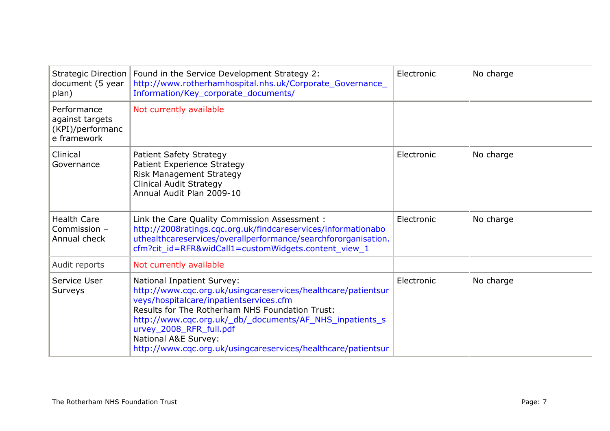| <b>Strategic Direction</b><br>document (5 year<br>plan)           | Found in the Service Development Strategy 2:<br>http://www.rotherhamhospital.nhs.uk/Corporate_Governance_<br>Information/Key_corporate_documents/                                                                                                                                                                                                                                | Electronic | No charge |
|-------------------------------------------------------------------|----------------------------------------------------------------------------------------------------------------------------------------------------------------------------------------------------------------------------------------------------------------------------------------------------------------------------------------------------------------------------------|------------|-----------|
| Performance<br>against targets<br>(KPI)/performanc<br>e framework | Not currently available                                                                                                                                                                                                                                                                                                                                                          |            |           |
| Clinical<br>Governance                                            | Patient Safety Strategy<br>Patient Experience Strategy<br><b>Risk Management Strategy</b><br>Clinical Audit Strategy<br>Annual Audit Plan 2009-10                                                                                                                                                                                                                                | Electronic | No charge |
| <b>Health Care</b><br>Commission -<br>Annual check                | Link the Care Quality Commission Assessment :<br>http://2008ratings.cqc.org.uk/findcareservices/informationabo<br>uthealthcareservices/overallperformance/searchfororganisation.<br>cfm?cit_id=RFR&widCall1=customWidgets.content_view_1                                                                                                                                         | Electronic | No charge |
| Audit reports                                                     | Not currently available                                                                                                                                                                                                                                                                                                                                                          |            |           |
| Service User<br>Surveys                                           | <b>National Inpatient Survey:</b><br>http://www.cqc.org.uk/usingcareservices/healthcare/patientsur<br>veys/hospitalcare/inpatientservices.cfm<br>Results for The Rotherham NHS Foundation Trust:<br>http://www.cqc.org.uk/_db/_documents/AF_NHS_inpatients_s<br>urvey_2008_RFR_full.pdf<br>National A&E Survey:<br>http://www.cqc.org.uk/usingcareservices/healthcare/patientsur | Electronic | No charge |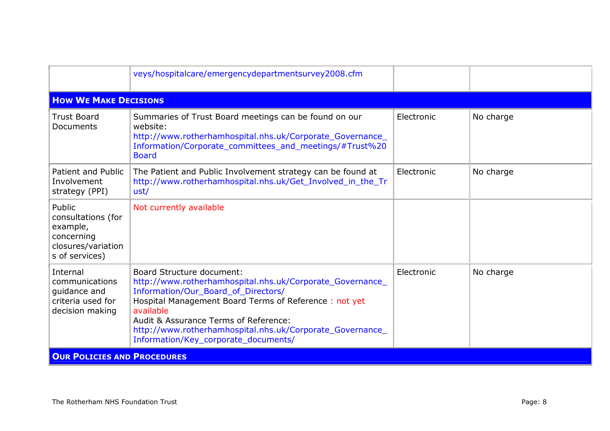|                                                                                                | veys/hospitalcare/emergencydepartmentsurvey2008.cfm                                                                                                                                                                                                                                                                                                      |            |           |
|------------------------------------------------------------------------------------------------|----------------------------------------------------------------------------------------------------------------------------------------------------------------------------------------------------------------------------------------------------------------------------------------------------------------------------------------------------------|------------|-----------|
| <b>HOW WE MAKE DECISIONS</b>                                                                   |                                                                                                                                                                                                                                                                                                                                                          |            |           |
| <b>Trust Board</b><br>Documents                                                                | Summaries of Trust Board meetings can be found on our<br>website:<br>http://www.rotherhamhospital.nhs.uk/Corporate_Governance_<br>Information/Corporate_committees_and_meetings/#Trust%20<br><b>Board</b>                                                                                                                                                | Electronic | No charge |
| Patient and Public<br>Involvement<br>strategy (PPI)                                            | The Patient and Public Involvement strategy can be found at<br>http://www.rotherhamhospital.nhs.uk/Get_Involved_in_the_Tr<br>ust/                                                                                                                                                                                                                        | Electronic | No charge |
| Public<br>consultations (for<br>example,<br>concerning<br>closures/variation<br>s of services) | Not currently available                                                                                                                                                                                                                                                                                                                                  |            |           |
| Internal<br>communications<br>quidance and<br>criteria used for<br>decision making             | <b>Board Structure document:</b><br>http://www.rotherhamhospital.nhs.uk/Corporate_Governance_<br>Information/Our_Board_of_Directors/<br>Hospital Management Board Terms of Reference: not yet<br>available<br>Audit & Assurance Terms of Reference:<br>http://www.rotherhamhospital.nhs.uk/Corporate_Governance_<br>Information/Key_corporate_documents/ | Electronic | No charge |
| <b>OUR POLICIES AND PROCEDURES</b>                                                             |                                                                                                                                                                                                                                                                                                                                                          |            |           |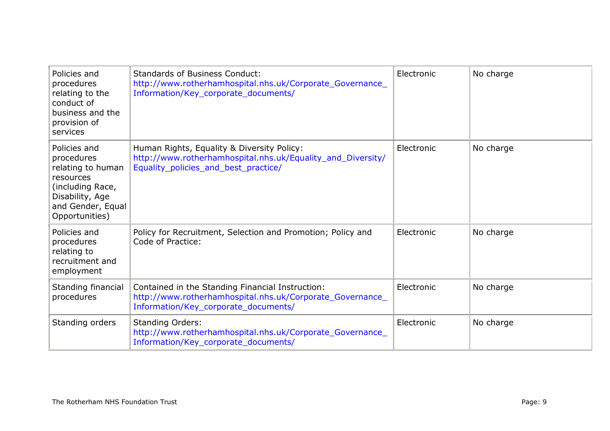| Policies and<br>procedures<br>relating to the<br>conduct of<br>business and the<br>provision of<br>services                                | <b>Standards of Business Conduct:</b><br>http://www.rotherhamhospital.nhs.uk/Corporate_Governance_<br>Information/Key_corporate_documents/            | Electronic | No charge |
|--------------------------------------------------------------------------------------------------------------------------------------------|-------------------------------------------------------------------------------------------------------------------------------------------------------|------------|-----------|
| Policies and<br>procedures<br>relating to human<br>resources<br>(including Race,<br>Disability, Age<br>and Gender, Equal<br>Opportunities) | Human Rights, Equality & Diversity Policy:<br>http://www.rotherhamhospital.nhs.uk/Equality_and_Diversity/<br>Equality_policies_and_best_practice/     | Electronic | No charge |
| Policies and<br>procedures<br>relating to<br>recruitment and<br>employment                                                                 | Policy for Recruitment, Selection and Promotion; Policy and<br>Code of Practice:                                                                      | Electronic | No charge |
| Standing financial<br>procedures                                                                                                           | Contained in the Standing Financial Instruction:<br>http://www.rotherhamhospital.nhs.uk/Corporate_Governance_<br>Information/Key_corporate_documents/ | Electronic | No charge |
| Standing orders                                                                                                                            | <b>Standing Orders:</b><br>http://www.rotherhamhospital.nhs.uk/Corporate_Governance_<br>Information/Key_corporate_documents/                          | Electronic | No charge |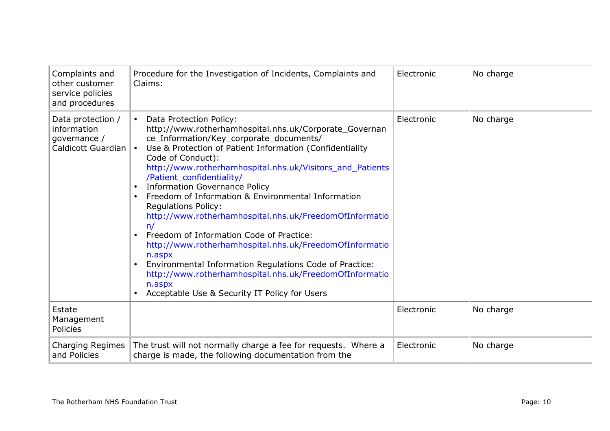| Complaints and<br>other customer<br>service policies<br>and procedures | Procedure for the Investigation of Incidents, Complaints and<br>Claims:                                                                                                                                                                                                                                                                                                                                                                                                                                                                                                                                                                                                                                                                                                                                                          | Electronic | No charge |
|------------------------------------------------------------------------|----------------------------------------------------------------------------------------------------------------------------------------------------------------------------------------------------------------------------------------------------------------------------------------------------------------------------------------------------------------------------------------------------------------------------------------------------------------------------------------------------------------------------------------------------------------------------------------------------------------------------------------------------------------------------------------------------------------------------------------------------------------------------------------------------------------------------------|------------|-----------|
| Data protection /<br>information<br>governance /<br>Caldicott Guardian | Data Protection Policy:<br>$\bullet$<br>http://www.rotherhamhospital.nhs.uk/Corporate_Governan<br>ce_Information/Key_corporate_documents/<br>Use & Protection of Patient Information (Confidentiality<br>$\bullet$<br>Code of Conduct):<br>http://www.rotherhamhospital.nhs.uk/Visitors_and_Patients<br>/Patient_confidentiality/<br><b>Information Governance Policy</b><br>Freedom of Information & Environmental Information<br><b>Regulations Policy:</b><br>http://www.rotherhamhospital.nhs.uk/FreedomOfInformatio<br>n/<br>Freedom of Information Code of Practice:<br>http://www.rotherhamhospital.nhs.uk/FreedomOfInformatio<br>n.aspx<br>Environmental Information Regulations Code of Practice:<br>http://www.rotherhamhospital.nhs.uk/FreedomOfInformatio<br>n.aspx<br>Acceptable Use & Security IT Policy for Users | Electronic | No charge |
| Estate<br>Management<br>Policies                                       |                                                                                                                                                                                                                                                                                                                                                                                                                                                                                                                                                                                                                                                                                                                                                                                                                                  | Electronic | No charge |
| Charging Regimes<br>and Policies                                       | The trust will not normally charge a fee for requests. Where a<br>charge is made, the following documentation from the                                                                                                                                                                                                                                                                                                                                                                                                                                                                                                                                                                                                                                                                                                           | Electronic | No charge |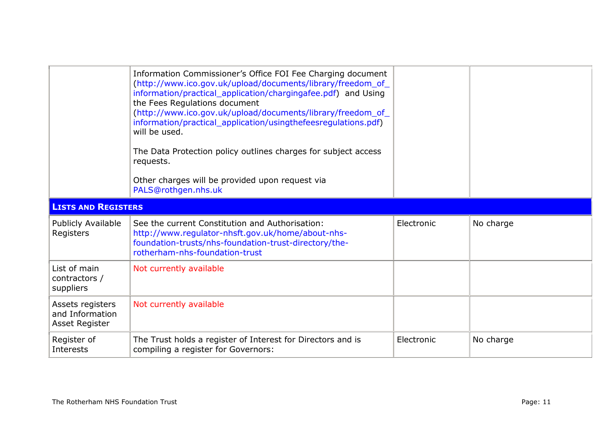|                                                       | Information Commissioner's Office FOI Fee Charging document<br>(http://www.ico.gov.uk/upload/documents/library/freedom_of_<br>information/practical_application/chargingafee.pdf) and Using<br>the Fees Regulations document<br>(http://www.ico.gov.uk/upload/documents/library/freedom_of_<br>information/practical_application/usingthefeesregulations.pdf)<br>will be used.<br>The Data Protection policy outlines charges for subject access<br>requests.<br>Other charges will be provided upon request via<br>PALS@rothgen.nhs.uk |            |           |
|-------------------------------------------------------|-----------------------------------------------------------------------------------------------------------------------------------------------------------------------------------------------------------------------------------------------------------------------------------------------------------------------------------------------------------------------------------------------------------------------------------------------------------------------------------------------------------------------------------------|------------|-----------|
| <b>LISTS AND REGISTERS</b>                            |                                                                                                                                                                                                                                                                                                                                                                                                                                                                                                                                         |            |           |
| Publicly Available                                    | See the current Constitution and Authorisation:                                                                                                                                                                                                                                                                                                                                                                                                                                                                                         | Electronic | No charge |
| Registers                                             | http://www.regulator-nhsft.gov.uk/home/about-nhs-<br>foundation-trusts/nhs-foundation-trust-directory/the-<br>rotherham-nhs-foundation-trust                                                                                                                                                                                                                                                                                                                                                                                            |            |           |
| List of main<br>contractors /<br>suppliers            | Not currently available                                                                                                                                                                                                                                                                                                                                                                                                                                                                                                                 |            |           |
| Assets registers<br>and Information<br>Asset Register | Not currently available                                                                                                                                                                                                                                                                                                                                                                                                                                                                                                                 |            |           |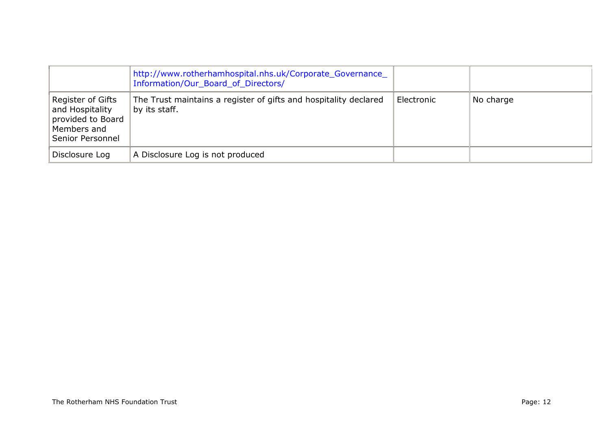|                                                                                              | http://www.rotherhamhospital.nhs.uk/Corporate_Governance_<br>Information/Our_Board_of_Directors/ |            |           |
|----------------------------------------------------------------------------------------------|--------------------------------------------------------------------------------------------------|------------|-----------|
| Register of Gifts<br>and Hospitality<br>provided to Board<br>Members and<br>Senior Personnel | The Trust maintains a register of gifts and hospitality declared<br>by its staff.                | Electronic | No charge |
| Disclosure Log                                                                               | A Disclosure Log is not produced                                                                 |            |           |